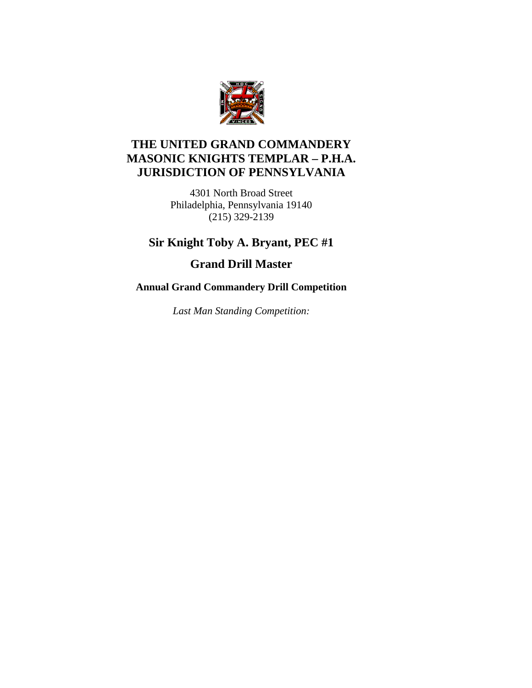

### **THE UNITED GRAND COMMANDERY MASONIC KNIGHTS TEMPLAR – P.H.A. JURISDICTION OF PENNSYLVANIA**

4301 North Broad Street Philadelphia, Pennsylvania 19140 (215) 329-2139

### **Sir Knight Toby A. Bryant, PEC #1**

**Grand Drill Master** 

#### **Annual Grand Commandery Drill Competition**

*Last Man Standing Competition:*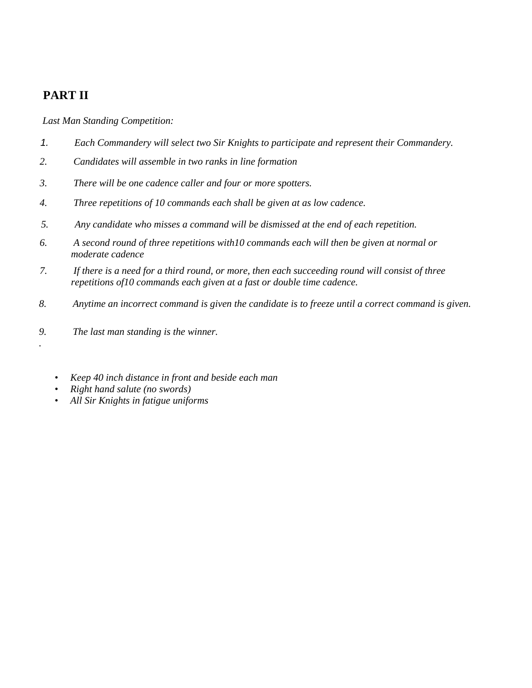## **PART II**

*.* 

*Last Man Standing Competition:* 

- *1. Each Commandery will select two Sir Knights to participate and represent their Commandery.*
- *2. Candidates will assemble in two ranks in line formation*
- *3. There will be one cadence caller and four or more spotters.*
- *4. Three repetitions of 10 commands each shall be given at as low cadence.*
- *5. Any candidate who misses a command will be dismissed at the end of each repetition.*
- *6. A second round of three repetitions with10 commands each will then be given at normal or moderate cadence*
- *7. If there is a need for a third round, or more, then each succeeding round will consist of three repetitions of10 commands each given at a fast or double time cadence.*
- *8. Anytime an incorrect command is given the candidate is to freeze until a correct command is given.*
- *9. The last man standing is the winner.* 
	- *Keep 40 inch distance in front and beside each man*
	- *Right hand salute (no swords)*
	- *All Sir Knights in fatigue uniforms*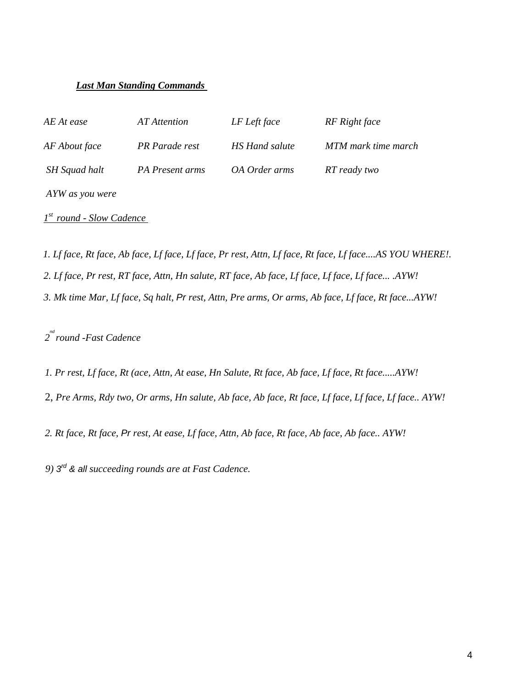#### *Last Man Standing Commands*

| AE At ease      | AT Attention           | LF Left face         | RF Right face       |
|-----------------|------------------------|----------------------|---------------------|
| AF About face   | PR Parade rest         | HS Hand salute       | MTM mark time march |
| SH Squad halt   | <b>PA</b> Present arms | <i>OA Order arms</i> | RT ready two        |
| AYW as you were |                        |                      |                     |

*1st round* - *Slow Cadence* 

*3. Mk time Mar, Lf face, Sq halt, Pr rest, Attn, Pre arms, Or arms, Ab face, Lf face, Rt face...AYW! 2. Lf face, Pr rest, RT face, Attn, Hn salute, RT face, Ab face, Lf face, Lf face, Lf face... .AYW! 1. Lf face, Rt face, Ab face, Lf face, Lf face, Pr rest, Attn, Lf face, Rt face, Lf face....AS YOU WHERE!.* 

*2 nd round* -*Fast Cadence* 

*1. Pr rest, Lf face, Rt (ace, Attn, At ease, Hn Salute, Rt face, Ab face, Lf face, Rt face.....AYW!* 

2, *Pre Arms, Rdy two, Or arms, Hn salute, Ab face, Ab face, Rt face, Lf face, Lf face, Lf face.. AYW!* 

*2. Rt face, Rt face, Pr rest, At ease, Lf face, Attn, Ab face, Rt face, Ab face, Ab face.. AYW!* 

*9) 3rd & all succeeding rounds are at Fast Cadence.*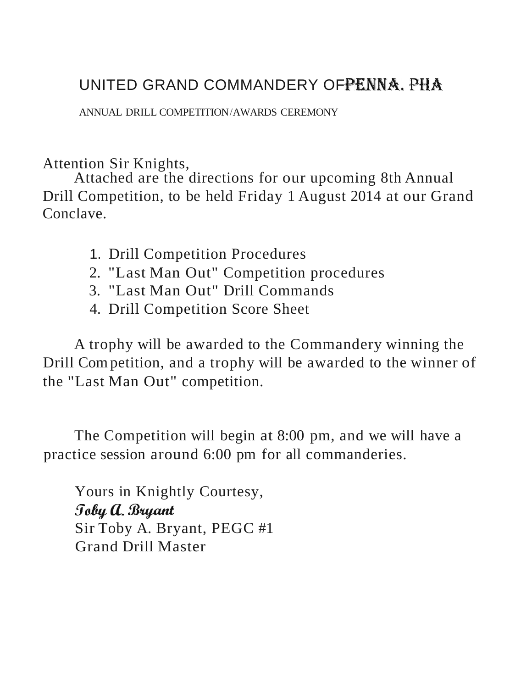# UNITED GRAND COMMANDERY OFPENNA, PHA

ANNUAL DRILL COMPETITION/AWARDS CEREMONY

# Attention Sir Knights,

Attached are the directions for our upcoming 8th Annual Drill Competition, to be held Friday 1 August 2014 at our Grand Conclave.

- 1. Drill Competition Procedures
- 2. "Last Man Out" Competition procedures
- 3. "Last Man Out" Drill Commands
- 4. Drill Competition Score Sheet

A trophy will be awarded to the Commandery winning the Drill Com petition, and a trophy will be awarded to the winner of the "Last Man Out" competition.

The Competition will begin at 8:00 pm, and we will have a practice session around 6:00 pm for all commanderies.

Yours in Knightly Courtesy, Toby a. Bryant Sir Toby A. Bryant, PEGC #1 Grand Drill Master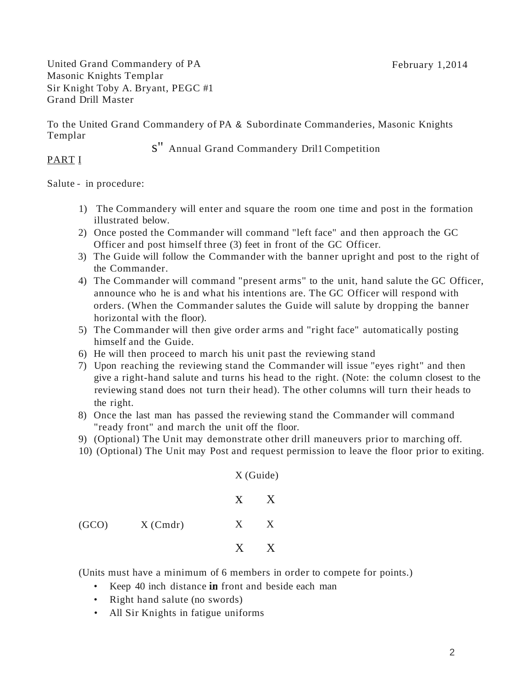United Grand Commandery of PA February 1,2014 Masonic Knights Templar Sir Knight Toby A. Bryant, PEGC #1 Grand Drill Master

To the United Grand Commandery of PA & Subordinate Commanderies, Masonic Knights Templar

s" Annual Grand Commandery Dril1 Competition

#### PART I

Salute - in procedure:

- 1) The Commandery will enter and square the room one time and post in the formation illustrated below.
- 2) Once posted the Commander will command "left face" and then approach the GC Officer and post himself three (3) feet in front of the GC Officer.
- 3) The Guide will follow the Commander with the banner upright and post to the right of the Commander.
- 4) The Commander will command "present arms" to the unit, hand salute the GC Officer, announce who he is and what his intentions are. The GC Officer will respond with orders. (When the Commander salutes the Guide will salute by dropping the banner horizontal with the floor).
- 5) The Commander will then give order arms and "right face" automatically posting himself and the Guide.
- 6) He will then proceed to march his unit past the reviewing stand
- 7) Upon reaching the reviewing stand the Commander will issue "eyes right" and then give a right-hand salute and turns his head to the right. (Note: the column closest to the reviewing stand does not turn their head). The other columns will turn their heads to the right.
- 8) Once the last man has passed the reviewing stand the Commander will command "ready front" and march the unit off the floor.
- 9) (Optional) The Unit may demonstrate other drill maneuvers prior to marching off.

 $\overline{X}$   $\overline{Y}$  (Guide)

10) (Optional) The Unit may Post and request permission to leave the floor prior to exiting.

|       |            |         | $X$ (Guide) |  |
|-------|------------|---------|-------------|--|
|       |            | X       | X           |  |
| (GCO) | $X$ (Cmdr) | $X_{-}$ | X           |  |
|       |            | X       | X           |  |

(Units must have a minimum of 6 members in order to compete for points.)

- Keep 40 inch distance in front and beside each man
- Right hand salute (no swords)
- All Sir Knights in fatigue uniforms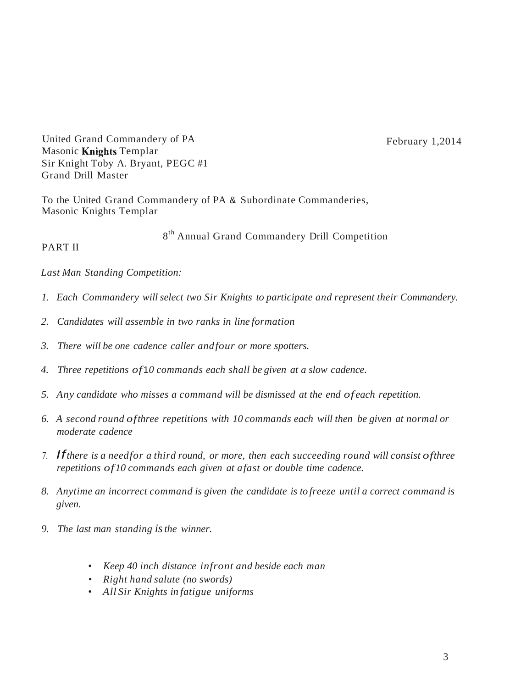United Grand Commandery of PA February 1,2014 Masonic Knights Templar Sir Knight Toby A. Bryant, PEGC #1 Grand Drill Master

To the United Grand Commandery of PA & Subordinate Commanderies, Masonic Knights Templar

8<sup>th</sup> Annual Grand Commandery Drill Competition

#### PART II

*Last Man Standing Competition:* 

- *1. Each Commandery will select two Sir Knights to participate and represent their Commandery.*
- *2. Candidates will assemble in two ranks in line formation*
- *3. There will be one cadence caller andfour or more spotters.*
- *4. Three repetitions of*1*0 commands each shall be given at a slow cadence.*
- *5. Any candidate who misses a command will be dismissed at the end of each repetition.*
- *6. A second round ofthree repetitions with 10 commands each will then be given at normal or moderate cadence*
- 7. If*there is a needfor <sup>a</sup> third round, or more, then each succeeding round will consist ofthree repetitions of10 commands each given at afast or double time cadence.*
- *8. Anytime an incorrect command is given the candidate is to freeze until a correct command is given.*
- *9. The last man standing is the winner.* 
	- *• Keep 40 inch distance infront and beside each man*
	- *• Right hand salute (no swords)*
	- *• All Sir Knights in fatigue uniforms*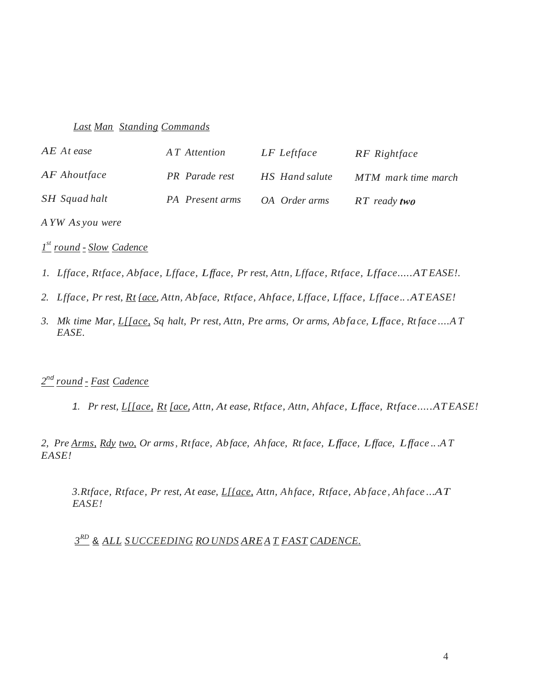#### *Last Man Standing Commands*

| AE At ease           | AT Attention    | LF Leftface    | RF Rightface        |
|----------------------|-----------------|----------------|---------------------|
| AF Ahoutface         | PR Parade rest  | HS Hand salute | MTM mark time march |
| <b>SH</b> Squad halt | PA Present arms | OA Order arms  | $RT$ ready two      |

*A YW As you were* 

*1 st round* - *Slow Cadence* 

- *1. Lfface, Rtface, Abface, Lfface, Lfface, Pr rest, Attn, Lfface, Rtface, Lfface.....AT EASE!.*
- *2. Lfface, Pr rest, Rt {ace, Attn, Ab face, Rtface, Ahface, Lfface, Lfface, Lfface.. .ATEASE!*
- *3. Mk time Mar, L[[ace, Sq halt, Pr rest, Attn, Pre arms, Or arms, Ab fa ce, Lfface, Rt face ....A T EASE.*

#### *2*nd *round* - *Fast Cadence*

1. *Pr rest, L[[ace, Rt [ace, Attn, At ease, Rtface, Attn, Ahface, Lfface, Rtface.....AT EASE!* 

*2, Pre Arms, Rdy two, Or arms, Rtface, Ab face, Ah face, Rt face, Lfface, Lfface, Lfface .. .A T EASE!* 

*3.Rtface, Rtface, Pr rest, At ease, L[{ace, Attn, Ahface, Rtface, Ab face , Ah face ...AT EASE!* 

*3RD* & *ALL SUCCEEDING RO UNDS AREA T FAST CADENCE.*